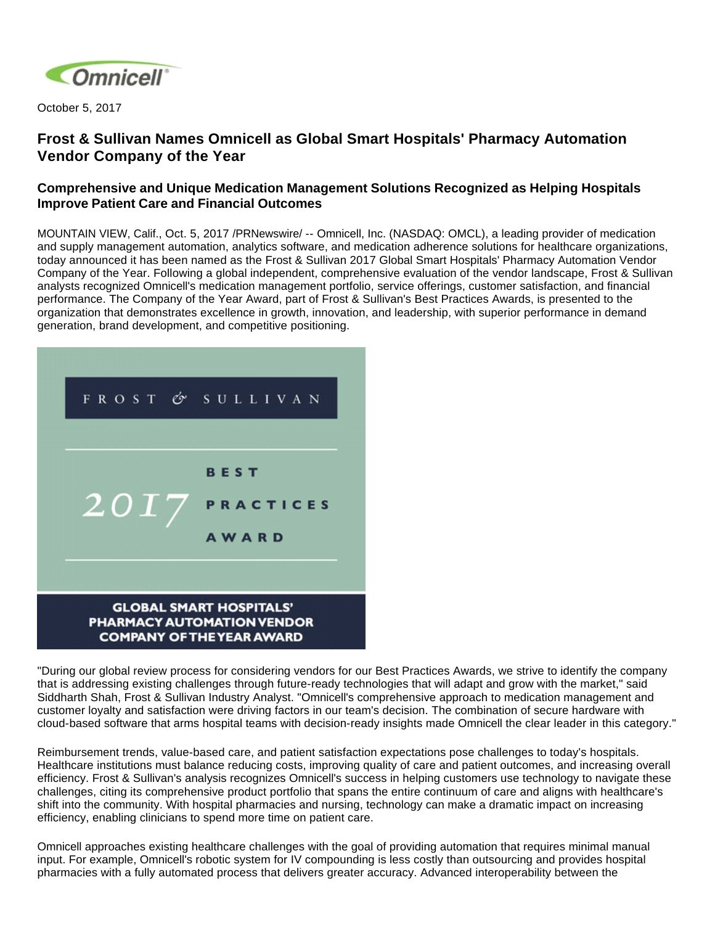

October 5, 2017

## **Frost & Sullivan Names Omnicell as Global Smart Hospitals' Pharmacy Automation Vendor Company of the Year**

## **Comprehensive and Unique Medication Management Solutions Recognized as Helping Hospitals Improve Patient Care and Financial Outcomes**

MOUNTAIN VIEW, Calif., Oct. 5, 2017 /PRNewswire/ -- Omnicell, Inc. (NASDAQ: OMCL), a leading provider of medication and supply management automation, analytics software, and medication adherence solutions for healthcare organizations, today announced it has been named as the Frost & Sullivan 2017 Global Smart Hospitals' Pharmacy Automation Vendor Company of the Year. Following a global independent, comprehensive evaluation of the vendor landscape, Frost & Sullivan analysts recognized Omnicell's medication management portfolio, service offerings, customer satisfaction, and financial performance. The Company of the Year Award, part of Frost & Sullivan's Best Practices Awards, is presented to the organization that demonstrates excellence in growth, innovation, and leadership, with superior performance in demand generation, brand development, and competitive positioning.



"During our global review process for considering vendors for our Best Practices Awards, we strive to identify the company that is addressing existing challenges through future-ready technologies that will adapt and grow with the market," said Siddharth Shah, Frost & Sullivan Industry Analyst. "Omnicell's comprehensive approach to medication management and customer loyalty and satisfaction were driving factors in our team's decision. The combination of secure hardware with cloud-based software that arms hospital teams with decision-ready insights made Omnicell the clear leader in this category."

Reimbursement trends, value-based care, and patient satisfaction expectations pose challenges to today's hospitals. Healthcare institutions must balance reducing costs, improving quality of care and patient outcomes, and increasing overall efficiency. Frost & Sullivan's analysis recognizes Omnicell's success in helping customers use technology to navigate these challenges, citing its comprehensive product portfolio that spans the entire continuum of care and aligns with healthcare's shift into the community. With hospital pharmacies and nursing, technology can make a dramatic impact on increasing efficiency, enabling clinicians to spend more time on patient care.

Omnicell approaches existing healthcare challenges with the goal of providing automation that requires minimal manual input. For example, Omnicell's robotic system for IV compounding is less costly than outsourcing and provides hospital pharmacies with a fully automated process that delivers greater accuracy. Advanced interoperability between the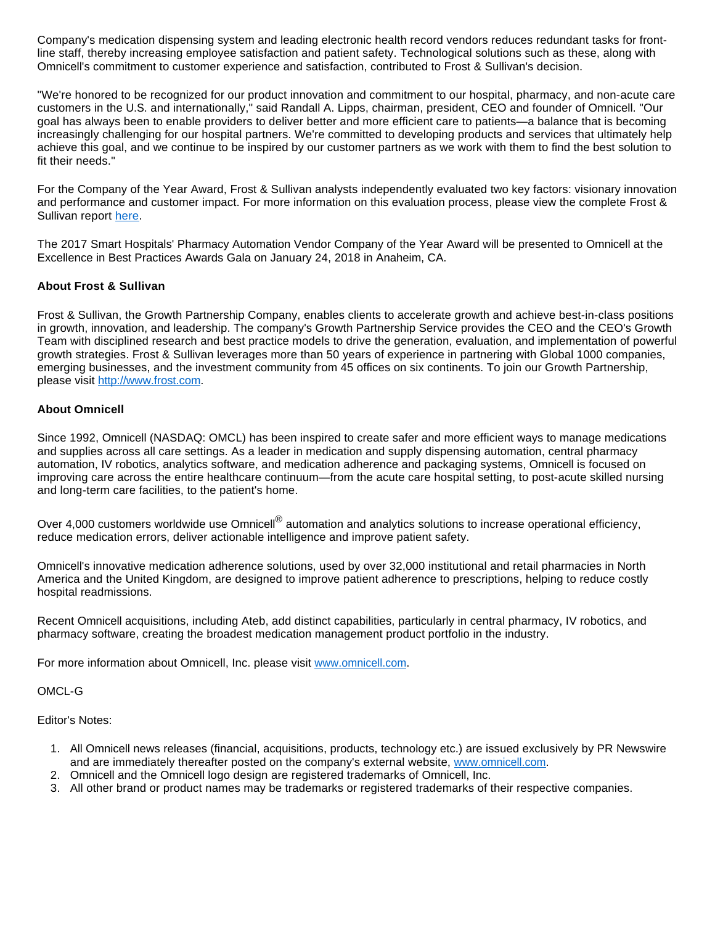Company's medication dispensing system and leading electronic health record vendors reduces redundant tasks for frontline staff, thereby increasing employee satisfaction and patient safety. Technological solutions such as these, along with Omnicell's commitment to customer experience and satisfaction, contributed to Frost & Sullivan's decision.

"We're honored to be recognized for our product innovation and commitment to our hospital, pharmacy, and non-acute care customers in the U.S. and internationally," said Randall A. Lipps, chairman, president, CEO and founder of Omnicell. "Our goal has always been to enable providers to deliver better and more efficient care to patients—a balance that is becoming increasingly challenging for our hospital partners. We're committed to developing products and services that ultimately help achieve this goal, and we continue to be inspired by our customer partners as we work with them to find the best solution to fit their needs."

For the Company of the Year Award, Frost & Sullivan analysts independently evaluated two key factors: visionary innovation and performance and customer impact. For more information on this evaluation process, please view the complete Frost & Sullivan report [here](https://cdn2.hubspot.net/hubfs/163420/docs/FrostandSullivanAward2017.pdf).

The 2017 Smart Hospitals' Pharmacy Automation Vendor Company of the Year Award will be presented to Omnicell at the Excellence in Best Practices Awards Gala on January 24, 2018 in Anaheim, CA.

## **About Frost & Sullivan**

Frost & Sullivan, the Growth Partnership Company, enables clients to accelerate growth and achieve best-in-class positions in growth, innovation, and leadership. The company's Growth Partnership Service provides the CEO and the CEO's Growth Team with disciplined research and best practice models to drive the generation, evaluation, and implementation of powerful growth strategies. Frost & Sullivan leverages more than 50 years of experience in partnering with Global 1000 companies, emerging businesses, and the investment community from 45 offices on six continents. To join our Growth Partnership, please visit [http://www.frost.com.](http://www.frost.com/)

## **About Omnicell**

Since 1992, Omnicell (NASDAQ: OMCL) has been inspired to create safer and more efficient ways to manage medications and supplies across all care settings. As a leader in medication and supply dispensing automation, central pharmacy automation, IV robotics, analytics software, and medication adherence and packaging systems, Omnicell is focused on improving care across the entire healthcare continuum—from the acute care hospital setting, to post-acute skilled nursing and long-term care facilities, to the patient's home.

Over 4,000 customers worldwide use Omnicell<sup>®</sup> automation and analytics solutions to increase operational efficiency, reduce medication errors, deliver actionable intelligence and improve patient safety.

Omnicell's innovative medication adherence solutions, used by over 32,000 institutional and retail pharmacies in North America and the United Kingdom, are designed to improve patient adherence to prescriptions, helping to reduce costly hospital readmissions.

Recent Omnicell acquisitions, including Ateb, add distinct capabilities, particularly in central pharmacy, IV robotics, and pharmacy software, creating the broadest medication management product portfolio in the industry.

For more information about Omnicell, Inc. please visit [www.omnicell.com](http://www.omnicell.com/).

OMCL-G

Editor's Notes:

- 1. All Omnicell news releases (financial, acquisitions, products, technology etc.) are issued exclusively by PR Newswire and are immediately thereafter posted on the company's external website, [www.omnicell.com.](http://www.omnicell.com/)
- 2. Omnicell and the Omnicell logo design are registered trademarks of Omnicell, Inc.
- 3. All other brand or product names may be trademarks or registered trademarks of their respective companies.